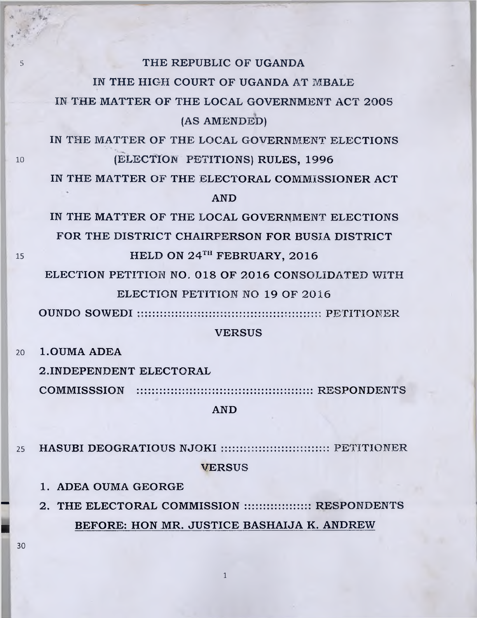#### **<sup>5</sup> THE REPUBLIC OF UGANDA**

**IN THE HIGH COURT OF UGANDA AT MBALE**

IN THE MATTER OF THE LOCAL GOVERNMENT ACT 2005 **(AS AMENDED)**

**IN THE MATTER OF THE LOCAL GOVERNMENT ELECTIONS** 10 **(ELECTION PETITIONS) RULES, 1996**

**IN THE MATTER OF THE ELECTORAL COMMISSIONER ACT AND**

**IN THE MATTER OF THE LOCAL GOVERNMENT ELECTIONS FOR THE DISTRICT CHAIRPERSON FOR BUSIA DISTRICT 15 HELD ON 24<sup>TH</sup> FEBRUARY, 2016** 

ELECTION PETITION NO. 018 OF 2016 CONSOLIDATED WITH **ELECTION PETITION NO 19 OF** 2016

**OUNDO SOWEDI PETITIONER**

### **VERSUS**

**20 l.OUMA ADEA**

**2 .INDEPENDENT ELECTORAL**

**COMMISSSION ::::::::::::::::::::::::::::::::::::::::::::::: RESPONDENTS**

**AND**

**<sup>25</sup> HASUBI DEOGRATIOUS NJOKI ::::::::::::::::::::::::::::: PETITIONER VERSUS**

**1. ADEA OUMA GEORGE**

**" 2. THE ELECTORAL COMMISSION :::::::::::::::::: RESPONDENTS ■ BEFORE: HON MR. JUSTICE BASHAIJA K. ANDREW**

**1**

**30**

. > *■i*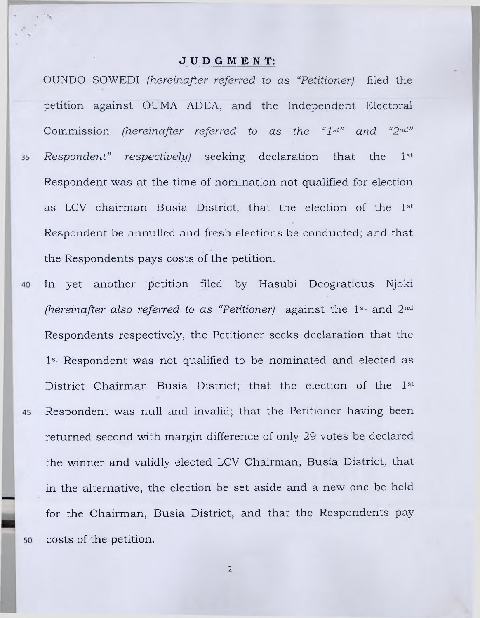#### **JUDGMENT:**

OUNDO SOWEDI *(hereinafter referred to as "Petitioner)* filed the petition against OUMA ADEA, and the Independent Electoral Commission *(hereinafter referred to as the "1st" and "2nd" Respondent"* respectively) seeking declaration that the 1<sup>st</sup> 35 Respondent was at the time of nomination not qualified for election as LCV chairman Busia District; that the election of the 1st Respondent be annulled and fresh elections be conducted; and that the Respondents pays costs of the petition.

- In yet another petition filed by Hasubi Deogratious Njoki 40 *(hereinafter also referred to as "Petitioner)* against the 1<sup>st</sup> and 2<sup>nd</sup> Respondents respectively, the Petitioner seeks declaration that the 1<sup>st</sup> Respondent was not qualified to be nominated and elected as District Chairman Busia District; that the election of the 1st Respondent was null and invalid; that the Petitioner having been 45 returned second with margin difference of only 29 votes be declared the winner and validly elected LCV Chairman, Busia District, that in the alternative, the election be set aside and a new one be held for the Chairman, Busia District, and that the Respondents pay costs of the petition. 50
	- 2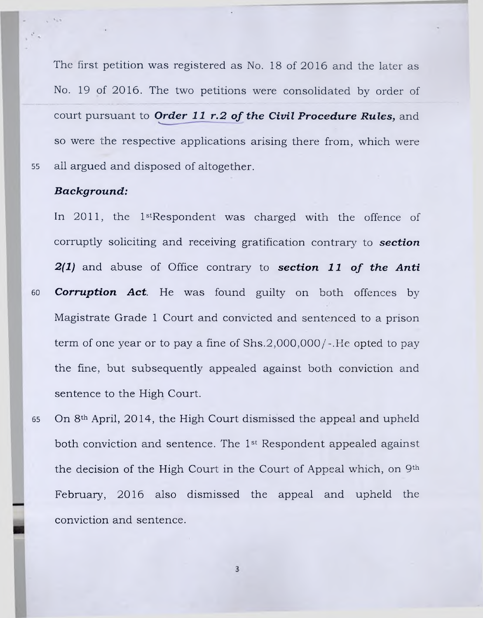The first petition was registered as No. 18 of 2016 and the later as No. 19 of 2016. The two petitions were consolidated by order of court pursuant to **Order 11 r.2 of the Civil Procedure Rules**, and so were the respective applications arising there from, which were 55 all argued and disposed of altogether.

## *Background:*

In 2011, the 1<sup>st</sup>Respondent was charged with the offence of corruptly soliciting and receiving gratification contrary to *section 2(1)* and abuse of Office contrary to *section 11 of the Anti* 60 *Corruption Act.* He was found guilty on both offences by Magistrate Grade 1 Court and convicted and sentenced to a prison term of one year or to pay a fine of  $Shs.2,000,000/$ -. He opted to pay the fine, but subsequently appealed against both conviction and sentence to the High Court.

65 On 8th April, 2014, the High Court dismissed the appeal and upheld both conviction and sentence. The 1st Respondent appealed against the decision of the High Court in the Court of Appeal which, on 9th February, 2016 also dismissed the appeal and upheld the conviction and sentence.

 $\overline{3}$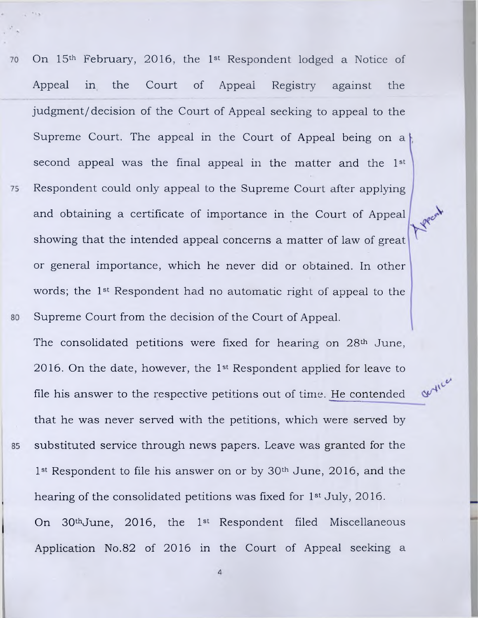On 15th February, 2016, the 1st Respondent lodged a Notice of 70 Appeal in the Court of Appeal Registry against the judgment/decision of the Court of Appeal seeking to appeal to the Supreme Court. The appeal in the Court of Appeal being on a second appeal was the final appeal in the matter and the 1st Respondent could only appeal to the Supreme Court after applying 75 and obtaining a certificate of importance in the Court of Appeal showing that the intended appeal concerns a matter of law of great or general importance, which he never did or obtained. In other words; the 1st Respondent had no automatic right of appeal to the Supreme Court from the decision of the Court of Appeal. 80

The consolidated petitions were fixed for hearing on 28th June, 2016. On the date, however, the 1st Respondent applied for leave to file his answer to the respective petitions out of time. He contended that he was never served with the petitions, which were served by substituted service through news papers. Leave was granted for the 85 1<sup>st</sup> Respondent to file his answer on or by 30<sup>th</sup> June, 2016, and the hearing of the consolidated petitions was fixed for 1st July, 2016. On 30thJune, 2016, the 1st Respondent filed Miscellaneous Application No.82 of 2016 in the Court of Appeal seeking a

artice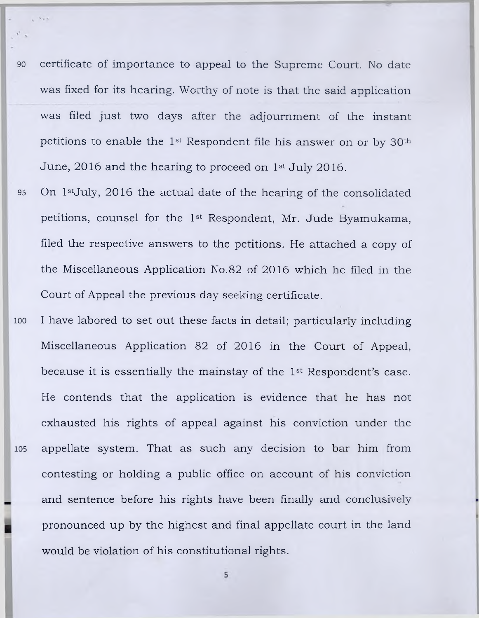- 90 certificate of importance to appeal to the Supreme Court. No date was fixed for its hearing. Worthy of note is that the said application was filed just two days after the adjournment of the instant petitions to enable the 1st Respondent file his answer on or by 30th June, 2016 and the hearing to proceed on 1st July 2016.
- 95 On 1<sup>st</sup>July, 2016 the actual date of the hearing of the consolidated petitions, counsel for the 1st Respondent, Mr. Jude Byamukama, filed the respective answers to the petitions. He attached a copy of the Miscellaneous Application No.82 of 2016 which he filed in the Court of Appeal the previous day seeking certificate.
- ioo I have labored to set out these facts in detail; particularly including Miscellaneous Application 82 of 2016 in the Court of Appeal, because it is essentially the mainstay of the 1st Respondent's case. He contends that the application is evidence that he has not exhausted his rights of appeal against his conviction under the 105 appellate system. That as such any decision to bar him from contesting or holding a public office on account of his conviction and sentence before his rights have been finally and conclusively pronounced up by the highest and final appellate court in the land would be violation of his constitutional rights.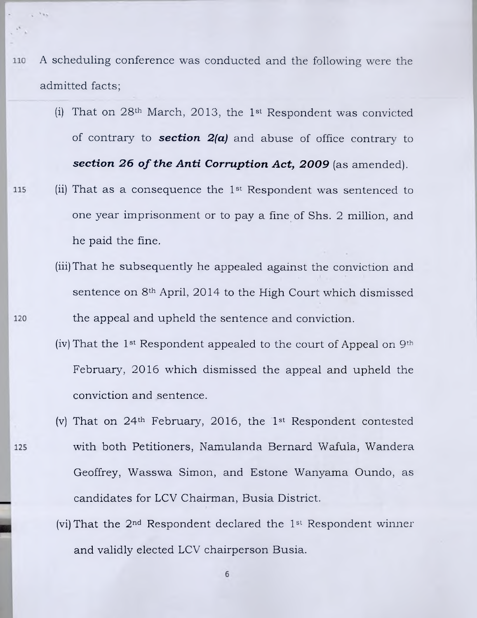- A scheduling conference was conducted and the following were the 110 admitted facts;
	- (i) That on 28th March, 2013, the 1st Respondent was convicted of contrary to *section 2(a)* and abuse of office contrary to **section 26 of the Anti Corruption Act, 2009** (as amended).
- (ii) That as a consequence the 1st Respondent was sentenced to 115 one year imprisonment or to pay a fine of Shs. 2 million, and he paid the fine.
	- (iii)That he subsequently he appealed against the conviction and sentence on 8th April, 2014 to the High Court which dismissed the appeal and upheld the sentence and conviction.
	- (iv) That the 1<sup>st</sup> Respondent appealed to the court of Appeal on  $9<sup>th</sup>$ February, 2016 which dismissed the appeal and upheld the conviction and sentence.
	- (v) That on 24th February, 2016, the 1st Respondent contested with both Petitioners, Namulanda Bernard Wafula, Wandera Geoffrey, Wasswa Simon, and Estone Wanyama Oundo, as candidates for LCV Chairman, Busia District.
	- (vi)That the 2nd Respondent declared the 1st Respondent winner and validly elected LCV chairperson Busia.

6

120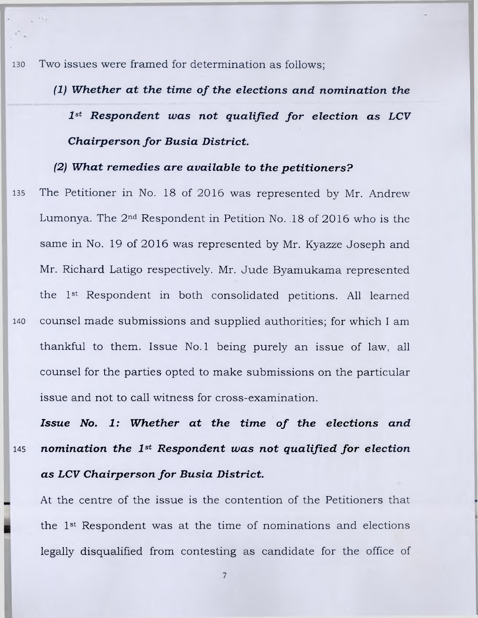130 Two issues were framed for determination as follows;

*(1) Whether at the time of the elections and nomination the 1st Respondent was not qualified for election as LCV Chairperson for Busia District.*

# *(2) What remedies are available to the petitioners?*

135 The Petitioner in No. 18 of 2016 was represented by Mr. Andrew Lumonya. The 2nd Respondent in Petition No. .18 of 2016 who is the same in No. 19 of 2016 was represented by Mr. Kyazze Joseph and Mr. Richard Latigo respectively. Mr. Jude Byamukama represented the 1st Respondent in both consolidated petitions. All learned 140 counsel made submissions and supplied authorities; for which I am thankful to them. Issue No. 1 being purely an issue of law, all counsel for the parties opted to make submissions on the particular issue and not to call witness for cross-examination.

*Issue No. 1: Whether at the time of the elections and* 145 *nomination the 1st Respondent was not qualified for election as LCV Chairperson for Busia District.*

At the centre of the issue is the contention of the Petitioners that the 1st Respondent was at the time of nominations and elections legally disqualified from contesting as candidate for the office of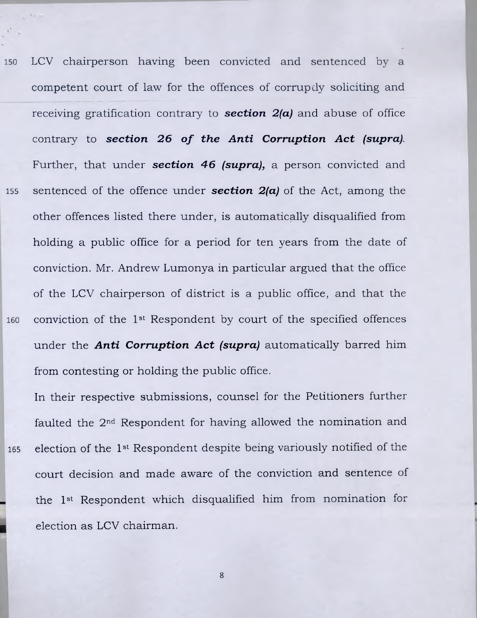150 LCV chairperson having been convicted and sentenced by a competent court of law for the offences of corrupdy soliciting and receiving gratification contrary to *section 2(a)* and abuse of office contrary to **section 26 of the Anti Corruption Act (supra)**. Further, that under *section 46 (supra),* a person convicted and 155 sentenced of the offence under *section 2(a)* of the Act, among the other offences listed there under, is automatically disqualified from holding a public office for a period for ten years from the date of conviction. Mr. Andrew Lumonya in particular argued that the office of the LCV chairperson of district is a public office, and that the 160 conviction of the 1st Respondent by court of the specified offences under the *Anti Corruption Act (supra)* automatically barred him from contesting or holding the public office.

In their respective submissions, counsel for the Petitioners further faulted the 2nd Respondent for having allowed the nomination and 165 election of the 1st Respondent despite being variously notified of the court decision and made aware of the conviction and sentence of the 1st Respondent which disqualified him from nomination for election as LCV chairman.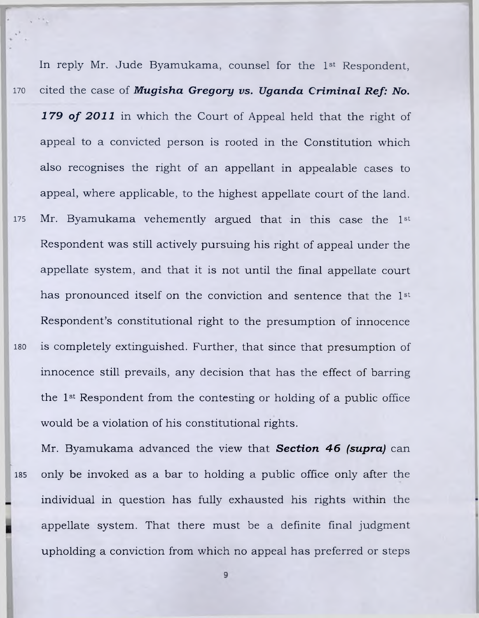In reply Mr. Jude Byamukama, counsel for the 1st Respondent, 170 cited the case of *Mugisha Gregory vs. Uganda Criminal Ref: No. 1 79 of 2011* in which the Court of Appeal held that the right of appeal to a convicted person is rooted in the Constitution which also recognises the right of an appellant in appealable cases to appeal, where applicable, to the highest appellate court of the land. 175 Mr. Byamukama vehemently argued that in this case the 1st Respondent was still actively pursuing his right of appeal under the appellate system, and that it is not until the final appellate court has pronounced itself on the conviction and sentence that the 1st Respondent's constitutional right to the presumption of innocence iso is completely extinguished. Further, that since that presumption of innocence still prevails, any decision that has the effect of barring the 1st Respondent from the contesting or holding of a public office would be a violation of his constitutional rights.

Mr. Byamukama advanced the view that *Section 46 (supra)* can **<sup>185</sup>** only be invoked as a bar to holding a public office only after the individual in question has fully exhausted his rights within the appellate system. That there must be a definite final judgment upholding a conviction from which no appeal has preferred or steps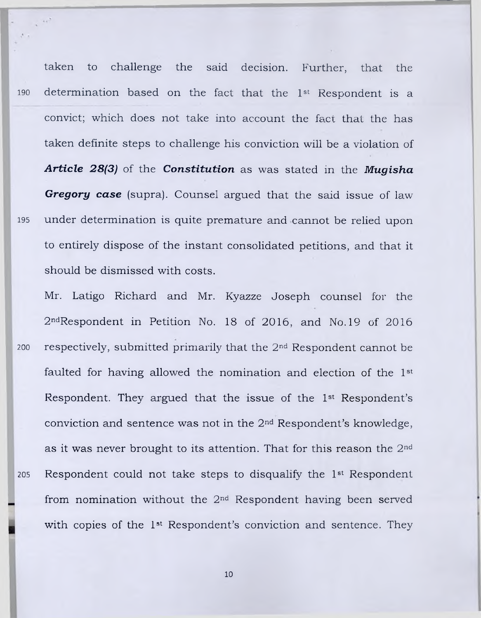taken to challenge the said decision. Further, that the 190 determination based on the fact that the 1st Respondent is a convict; which does not take into account the fact that the has taken definite steps to challenge his conviction will be a violation of *Article 28(3)* of the *Constitution* as was stated in the *Mugisha Gregory case* (supra). Counsel argued that the said issue of law 195 under determination is quite premature and cannot be relied upon to entirely dispose of the instant consolidated petitions, and that it should be dismissed with costs.

 $\mathbf{v}$ 

Mr. Latigo Richard and Mr. Kyazze Joseph counsel for the 2ndRespondent in Petition No. 18 of 2016, and No. 19 of 2016 200 respectively, submitted primarily that the 2nd Respondent cannot be faulted for having allowed the nomination and election of the 1st Respondent. They argued that the issue of the 1st Respondent's conviction and sentence was not in the 2nd Respondent's knowledge, as it was never brought to its attention. That for this reason the 2<sup>nd</sup> 205 Respondent could not take steps to disqualify the 1st Respondent from nomination without the 2nd Respondent having been served with copies of the 1st Respondent's conviction and sentence. They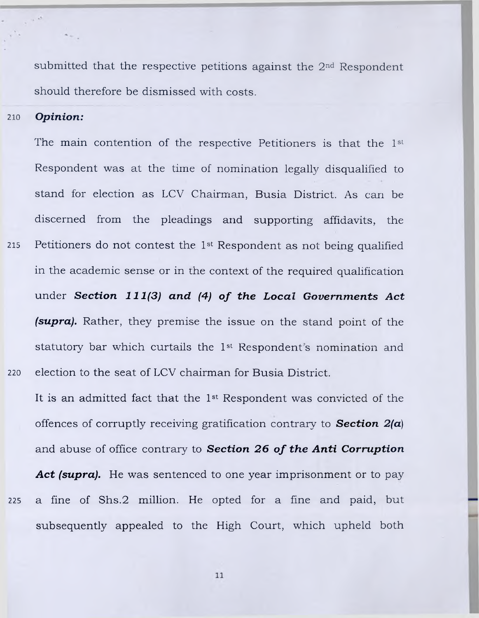submitted that the respective petitions against the 2nd Respondent should therefore be dismissed with costs.

210 *Opinion:*

The main contention of the respective Petitioners is that the 1st Respondent was at the time of nomination legally disqualified to stand for election as LCV Chairman, Busia District. As can be discerned from the pleadings and supporting affidavits, the 215 Petitioners do not contest the 1st Respondent as not being qualified in the academic sense or in the context of the required qualification under *Section 111(3) and (4) of the Local Governments Act (supra).* Rather, they premise the issue on the stand point of the statutory bar which curtails the 1st Respondent's nomination and 220 election to the seat of LCV chairman for Busia District.

It is an admitted fact that the 1st Respondent was convicted of the offences of corruptly receiving gratification contrary to *Section 2(a)* and abuse of office contrary to **Section 26 of the Anti Corruption** Act (supra). He was sentenced to one year imprisonment or to pay 225 a fine of Shs.2 million. He opted for a fine and paid, but subsequently appealed to the High Court, which upheld both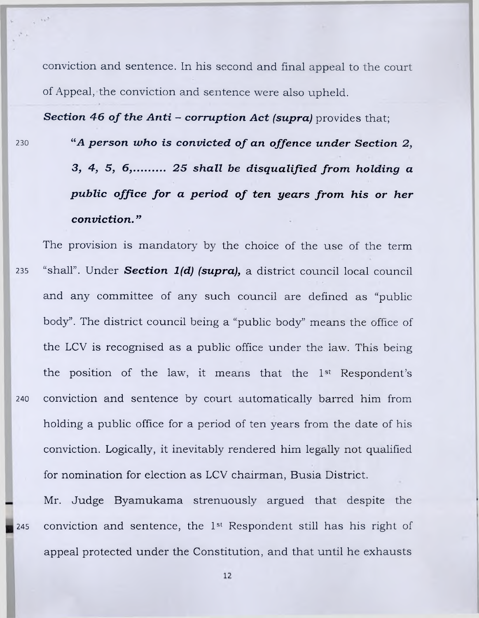conviction and sentence. In his second and final appeal to the court of Appeal, the conviction and sentence were also upheld.

**Section 46 of the Anti - corruption Act (supra)** provides that:

- <sup>230</sup> "<sup>4</sup> A person who is convicted of an offence under Section 2, *3, 4, 5, 6,*.......... *25 shall be disqualified from holding a public office for a period of ten years from his or her conviction. "*
- The provision is mandatory by the choice of the use of the term 235 "shall". Under *Section 1(d) (supra),* a district council local council and any committee of any such council are defined as "public body". The district council being a "public body" means the office of the LCV is recognised as a public office under the law. This being the position of the law, it means that the 1st Respondent's 240 conviction and sentence by court automatically barred him from holding a public office for a period of ten years from the date of his conviction. Logically, it inevitably rendered him legally not qualified for nomination for election as LCV chairman, Busia District.

Mr. Judge Byamukama strenuously argued that despite the 245 conviction and sentence, the 1st Respondent still has his right of appeal protected under the Constitution, and that until he exhausts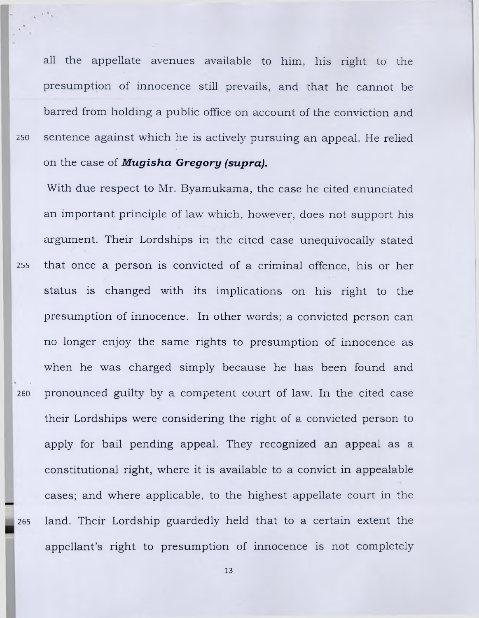all the appellate avenues available to him, his right to the presumption of innocence still prevails, and that he cannot be barred from holding a public office on account of the conviction and 250 sentence against which he is actively pursuing an appeal. He relied on the case of *Mugisha Gregory (supra).*

With due respect to Mr. Byamukama, the case he cited enunciated an important principle of law which, however, does not support his argument. Their Lordships in the cited case unequivocally stated 255 that once a person is convicted of a criminal offence, his or her status is changed with its implications on his right to the presumption of innocence. In other words; a convicted person can no longer enjoy the same rights to presumption of innocence as when he was charged simply because he has been found and 260 pronounced guilty by a competent court of law. In the cited case their Lordships were considering the right of a convicted person to apply for bail pending appeal. They recognized an appeal as a constitutional right, where it is available to a convict in appealable cases; and where applicable, to the highest appellate court in the 265 land. Their Lordship guardedly held that to a certain extent the appellant's right to presumption of innocence is not completely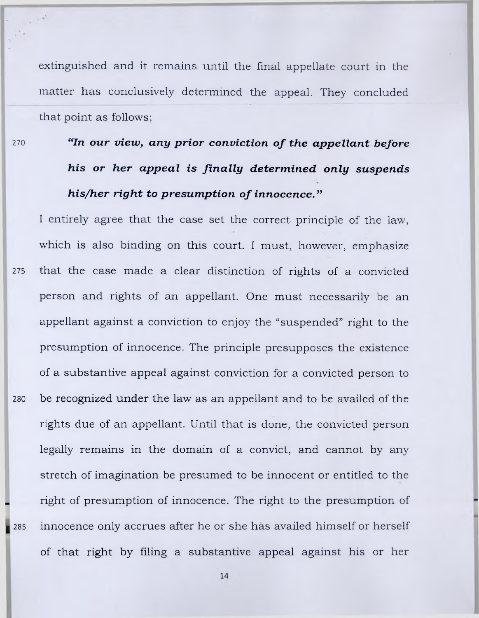extinguished and it remains until the final appellate court in the matter has conclusively determined the appeal. They concluded that point as follows;

 $\epsilon$  and

# **<sup>270</sup>** *"In our view, any prior conviction of the appellant before his or her appeal is finally determined only suspends his/her right to presumption of innocence. "*

I entirely agree that the case set the correct principle of the law, which is also binding on this court. I must, however, emphasize 275 that the case made a clear distinction of rights of a convicted person and rights of an appellant. One must necessarily be an appellant against a conviction to enjoy the "suspended" right to the presumption of innocence. The principle presupposes the existence of a substantive appeal against conviction for a convicted person to 280 be recognized under the law as an appellant and to be availed of the rights due of an appellant. Until that is done, the convicted person legally remains in the domain of a convict, and cannot by any stretch of imagination be presumed to be innocent or entitled to the right of presumption of innocence. The right to the presumption of **<sup>285</sup>** innocence only accrues after he or she has availed himself or herself of that right by filing a substantive appeal against his or her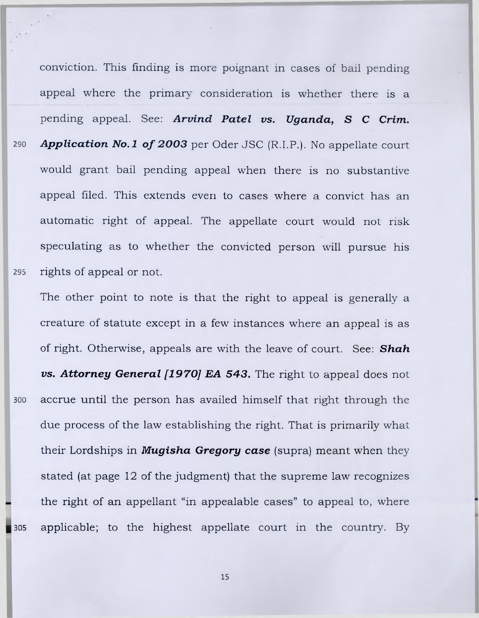conviction. This finding is more poignant in cases of bail pending appeal where the primary consideration is whether there is a pending appeal. See: *Arvind Patel vs. Uganda, S C Crim.* 290 **Application No.1 of 2003** per Oder JSC (R.I.P.). No appellate court would grant bail pending appeal when there is no substantive appeal filed. This extends even to cases where a convict has an automatic right of appeal. The appellate court would not risk speculating as to whether the convicted person will pursue his 295 rights of appeal or not.

The other point to note is that the right to appeal is generally a creature of statute except in a few instances where an appeal is as of right. Otherwise, appeals are with the leave of court. See: *Shah vs. Attorney General [1970] EA 543.* The right to appeal does not 300 accrue until the person has availed himself that right through the due process of the law establishing the right. That is primarily what their Lordships in *Mugisha Gregory case* (supra) meant when they stated (at page 12 of the judgment) that the supreme law recognizes the right of an appellant "in appealable cases" to appeal to, where 305 applicable; to the highest appellate court in the country. By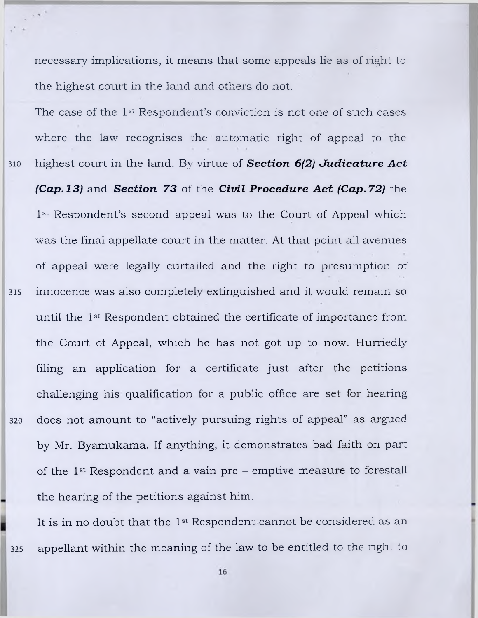necessary implications, it means that some appeals lie as of right to the highest court in the land and others do not.

The case of the 1st Respondent's conviction is not one of such cases where the law recognises the automatic right of appeal to the 310 highest court in the land. By virtue of *Section 6(2) Judicature Act (Cap. 13)* and *Section 73* of the *Civil Procedure Act (Cap. 72)* the 1<sup>st</sup> Respondent's second appeal was to the Court of Appeal which was the final appellate court in the matter. At that point all avenues of appeal were legally curtailed and the right to presumption of 315 innocence was also completely extinguished and it would remain so until the 1st Respondent obtained the certificate of importance from the Court of Appeal, which he has not got up to now. Hurriedly filing an application for a certificate just after the petitions challenging his qualification for a public office are set for hearing 320 does not amount to "actively pursuing rights of appeal" as argued by Mr. Byamukama. If anything, it demonstrates bad faith on part of the 1st Respondent and a vain pre - emptive measure to forestall the hearing of the petitions against him.

It is in no doubt that the 1st Respondent cannot be considered as an 325 appellant within the meaning of the law to be entitled to the right to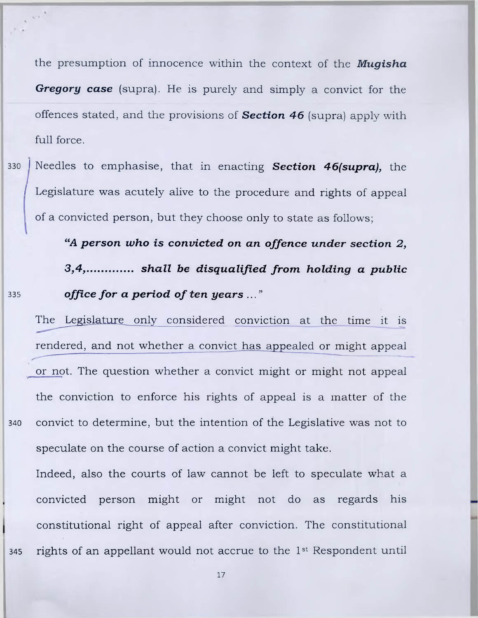the presumption of innocence within the context of the *Mugisha Gregory case* (supra). He is purely and simply a convict for the offences stated, and the provisions of *Section 46* (supra) apply with full force.

330 *I* Needles to emphasise, that in enacting *Section 46(supra),* the Legislature was acutely alive to the procedure and rights of appeal ! of a convicted person, but they choose only to state as follows;

*"A person who is convicted on an offence under section 2, 3,4, shall be disqualified from holding a public* **<sup>335</sup>** *office for a period of ten years ..."*

 $\mathbf{v}$  ,  $\mathbf{v}$ 

The Legislature only considered conviction at the time it is rendered, and not whether a convict has appealed or might appeal or not. The question whether a convict might or might not appeal the conviction to enforce his rights of appeal is a matter of the 340 convict to determine, but the intention of the Legislative was not to speculate on the course of action a convict might take.

Indeed, also the courts of law cannot be left to speculate what a convicted person might or might not do as regards his constitutional right of appeal after conviction. The constitutional 345 rights of an appellant would not accrue to the 1st Respondent until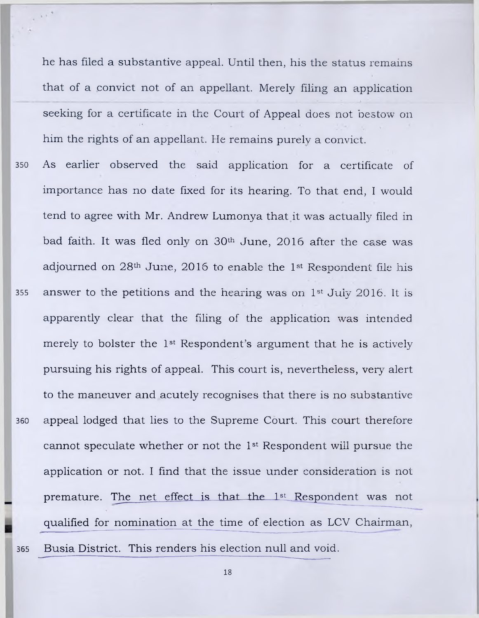he has filed a substantive appeal. Until then, his the status remains that of a convict not of an appellant. Merely filing an application seeking for a certificate in the Court of Appeal does not bestow on him the rights of an appellant. He remains purely a convict.

350 As earlier observed the said application for a certificate of importance has no date fixed for its hearing. To that end, I would tend to agree with Mr. Andrew Lumonya that it was actually filed in bad faith. It was fled only on 30th June, 2016 after the case was adjourned on 28th June, 2016 to enable the 1st Respondent file his 355 answer to the petitions and the hearing was on  $1<sup>st</sup>$  July 2016. It is apparently clear that the filing of the application was intended merely to bolster the 1st Respondent's argument that he is actively pursuing his rights of appeal. This court is, nevertheless, very alert to the maneuver and acutely recognises that there is no substantive 360 appeal lodged that lies to the Supreme Court. This court therefore cannot speculate whether or not the 1st Respondent will pursue the application or not. I find that the issue under consideration is not premature. The net effect is that the 1st Respondent was not qualified for nomination at the time of election as LCV Chairman,

365 Busia District. This renders his election null and void.

 $\sim$   $^{-1}$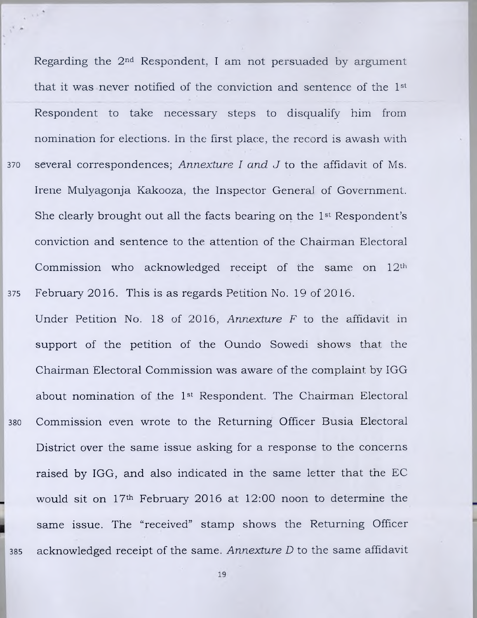Regarding the 2nd Respondent, I am not persuaded by argument that it was never notified of the conviction and sentence of the 1st Respondent to take necessary steps to disqualify him from nomination for elections. In the first place, the record is awash with 370 several correspondences; *Annexture I and J* to the affidavit of Ms. Irene Mulyagonja Kakooza, the Inspector General of Government. She clearly brought out all the facts bearing on the 1st Respondent's conviction and sentence to the attention of the Chairman Electoral Commission who acknowledged receipt of the same on  $12<sup>th</sup>$ 375 February 2016. This is as regards Petition No. 19 of 2016.

Under Petition No. 18 of 2016, *Annexture F* to the affidavit in support of the petition of the Oundo Sowedi shows that the Chairman Electoral Commission was aware of the complaint by IGG about nomination of the 1st Respondent. The Chairman Electoral 380 Commission even wrote to the Returning Officer Busia Electoral District over the same issue asking for a response to the concerns raised by IGG, and also indicated in the same letter that the EC would sit on 17th February 2016 at 12:00 noon to determine the same issue. The "received" stamp shows the Returning Officer 385 acknowledged receipt of the same. *Annexture D* to the same affidavit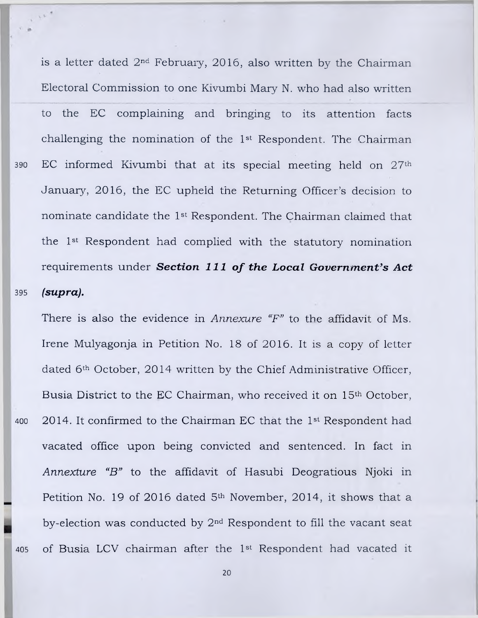**390 395** is a letter dated 2nd February, 2016, also written by the Chairman Electoral Commission to one Kivumbi Mary N. who had also written to the EC complaining and bringing to its attention facts challenging the nomination of the 1st Respondent. The Chairman EC informed Kivumbi that at its special meeting held on 27th January, 2016, the EC upheld the Returning Officer's decision to nominate candidate the 1st Respondent. The Chairman claimed that the 1st Respondent had complied with the statutory nomination requirements under **Section 111 of the Local Government's Act** *(supra).*

There is also the evidence in *Annexure "F"* to the affidavit of Ms. Irene Mulyagonja in Petition No. 18 of 2016. It is a copy of letter dated 6th October, 2014 written by the Chief Administrative Officer, Busia District to the EC Chairman, who received it on 15th October, 2014. It confirmed to the Chairman EC that the 1st Respondent had vacated office upon being convicted and sentenced. In fact in *Annexture "B"* to the affidavit of Hasubi Deogratious Njoki in Petition No. 19 of 2016 dated 5<sup>th</sup> November, 2014, it shows that a by-election was conducted by 2nd Respondent to fill the vacant seat of Busia LCV chairman after the 1st Respondent had vacated it

**405**

**400**

 $\tau$  ).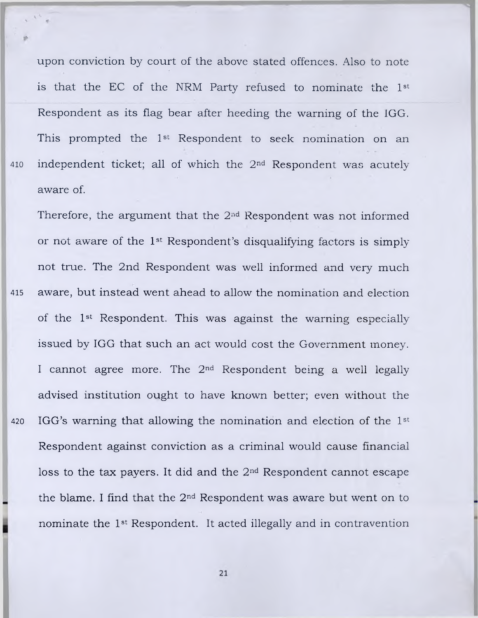upon conviction by court of the above stated offences. Also to note is that the EC of the NRM Party refused to nominate the 1st Respondent as its flag bear after heeding the warning of the IGG. This prompted the 1st Respondent to seek nomination on an 410 independent ticket; all of which the 2<sup>nd</sup> Respondent was acutely aware of.

Therefore, the argument that the  $2<sup>nd</sup>$  Respondent was not informed or not aware of the 1st Respondent's disqualifying factors is simply not true. The 2nd Respondent was well informed and very much **<sup>415</sup>** aware, but instead went ahead to allow the nomination and election of the 1st Respondent. This was against the warning especially issued by IGG that such an act would cost the Government money. I cannot agree more. The 2nd Respondent being a well legally advised institution ought to have known better; even without the 420 IGG's warning that allowing the nomination and election of the 1st Respondent against conviction as a criminal would cause financial loss to the tax payers. It did and the 2nd Respondent cannot escape the blame. I find that the 2nd Respondent was aware but went on to nominate the 1st Respondent. It acted illegally and in contravention